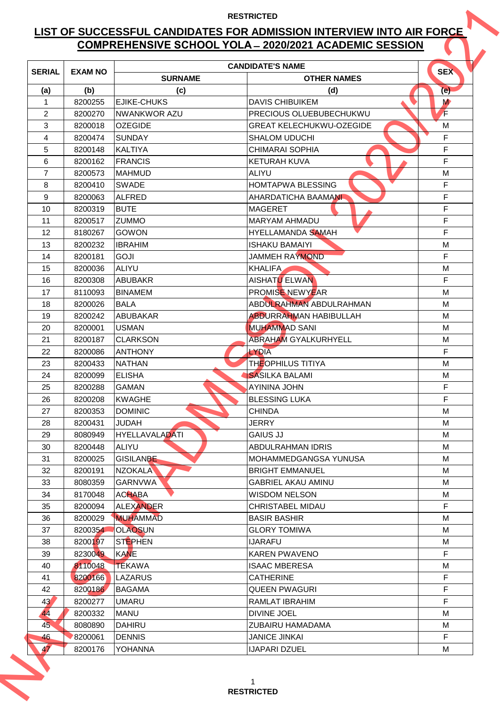## **LIST OF SUCCESSFUL CANDIDATES FOR ADMISSION INTERVIEW INTO AIR FORCE COMPREHENSIVE SCHOOL YOLA ̶2020/2021 ACADEMIC SESSION**

| <b>SERIAL</b>   | <b>EXAM NO</b>     |                                     | <b>CANDIDATE'S NAME</b>                         | <b>SEX</b>  |
|-----------------|--------------------|-------------------------------------|-------------------------------------------------|-------------|
|                 |                    | <b>SURNAME</b>                      | <b>OTHER NAMES</b>                              |             |
| (a)             | (b)                | (c)                                 | (d)                                             | (e)         |
| 1               | 8200255            | <b>EJIKE-CHUKS</b>                  | <b>DAVIS CHIBUIKEM</b>                          | <b>M</b>    |
| $\overline{2}$  | 8200270            | <b>NWANKWOR AZU</b>                 | PRECIOUS OLUEBUBECHUKWU                         | Æ           |
| 3               | 8200018            | <b>OZEGIDE</b>                      | <b>GREAT KELECHUKWU-OZEGIDE</b>                 | M           |
| 4               | 8200474            | <b>SUNDAY</b>                       | <b>SHALOM UDUCHI</b>                            | F           |
| 5               | 8200148            | <b>KALTIYA</b>                      | <b>CHIMARAI SOPHIA</b>                          | F           |
| 6               | 8200162            | <b>FRANCIS</b>                      | <b>KETURAH KUVA</b>                             | F           |
| 7               | 8200573            | <b>IMAHMUD</b>                      | <b>ALIYU</b>                                    | M           |
| 8               | 8200410            | <b>SWADE</b>                        | <b>HOMTAPWA BLESSING</b>                        | F           |
| 9               | 8200063            | <b>ALFRED</b>                       | AHARDATICHA BAAMANI                             | F           |
| 10              | 8200319            | <b>BUTE</b>                         | <b>MAGERET</b>                                  | F           |
| 11              | 8200517            | <b>ZUMMO</b>                        | <b>MARYAM AHMADU</b>                            | F           |
| 12              | 8180267            | <b>GOWON</b>                        | <b>HYELLAMANDA SAMAH</b>                        | F           |
| 13              | 8200232            | <b>IBRAHIM</b>                      | <b>ISHAKU BAMAIYI</b>                           | M           |
| 14              | 8200181            | <b>GOJI</b>                         | JAMMEH RAYMOND                                  | F           |
| 15              | 8200036            | <b>ALIYU</b>                        | <b>KHALIFA</b>                                  | M           |
| 16              | 8200308            | <b>ABUBAKR</b>                      | AISHATU ELWAN                                   | F           |
| 17              | 8110093            | <b>BINAMEM</b>                      | <b>PROMISE NEWYEAR</b>                          | M           |
| 18              | 8200026            | <b>BALA</b>                         | ABDULRAHMAN ABDULRAHMAN                         | M           |
| 19              | 8200242            | <b>ABUBAKAR</b>                     | <b>ABDURRAHMAN HABIBULLAH</b>                   | M           |
| 20              | 8200001            | <b>USMAN</b>                        | <b>MUHAMMAD SANI</b>                            | M           |
| 21              | 8200187            | <b>CLARKSON</b>                     | <b>ABRAHAM GYALKURHYELL</b>                     | M           |
| 22              | 8200086            | <b>ANTHONY</b>                      | <b>LYDIA</b>                                    | F           |
| 23              | 8200433            | <b>NATHAN</b>                       | <b>THEOPHILUS TITIYA</b>                        | M           |
| 24              | 8200099            | <b>ELISHA</b>                       | <b>SASILKA BALAMI</b>                           | M           |
| 25              | 8200288            | <b>GAMAN</b>                        | <b>AYININA JOHN</b>                             | $\mathsf F$ |
| 26              | 8200208            | <b>KWAGHE</b>                       | <b>BLESSING LUKA</b>                            | F           |
| 27              | 8200353            | <b>DOMINIC</b>                      | <b>CHINDA</b>                                   | M           |
| 28              | 8200431            | <b>JUDAH</b>                        | <b>JERRY</b>                                    | М           |
| 29              | 8080949            | <b>HYELLAVALADATI</b>               | <b>GAIUS JJ</b>                                 | М           |
| 30              | 8200448            | <b>ALIYU</b>                        | <b>ABDULRAHMAN IDRIS</b>                        | M           |
| 31              | 8200025            | <b>GISILANBE</b>                    | MOHAMMEDGANGSA YUNUSA<br><b>BRIGHT EMMANUEL</b> | М           |
| 32              | 8200191            | <b>NZOKALA</b>                      |                                                 | М           |
| 33              | 8080359            | <b>GARNVWA</b>                      | <b>GABRIEL AKAU AMINU</b>                       | М           |
| 34              | 8170048            | <b>ACHABA</b>                       | <b>WISDOM NELSON</b>                            | М<br>F.     |
| 35              | 8200094            | <b>ALEXANDER</b><br><b>MUHAMMAD</b> | <b>CHRISTABEL MIDAU</b>                         | M           |
| 36<br>37        | 8200029            | <b>OLAOSUN</b>                      | <b>BASIR BASHIR</b><br><b>GLORY TOMIWA</b>      | M           |
|                 | 8200354<br>8200197 | <b>STEPHEN</b>                      | <b>IJARAFU</b>                                  | М           |
| 38<br>39        | 8230049            | <b>KANE</b>                         | <b>KAREN PWAVENO</b>                            | F.          |
| 40              | 8110048            | <b>TEKAWA</b>                       | <b>ISAAC MBERESA</b>                            | М           |
| 41              | 8200166            | <b>LAZARUS</b>                      | <b>CATHERINE</b>                                | F           |
| 42              | 8200186            | <b>BAGAMA</b>                       | <b>QUEEN PWAGURI</b>                            | F           |
| 43 <sup>′</sup> | 8200277            | <b>UMARU</b>                        | RAMLAT IBRAHIM                                  | F           |
| 44              | 8200332            | <b>MANU</b>                         | <b>DIVINE JOEL</b>                              | М           |
| 45              | 8080890            | <b>DAHIRU</b>                       | ZUBAIRU HAMADAMA                                | М           |
| 46              | 8200061            | <b>DENNIS</b>                       | <b>JANICE JINKAI</b>                            | F           |
| 47              | 8200176            | <b>YOHANNA</b>                      | <b>IJAPARI DZUEL</b>                            | М           |
|                 |                    |                                     |                                                 |             |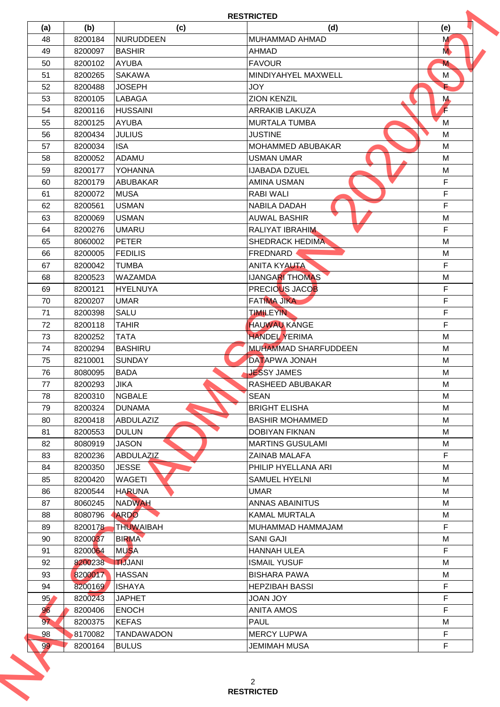| 48<br>49        | 8200184 |                   |                             | (e)           |
|-----------------|---------|-------------------|-----------------------------|---------------|
|                 |         | NURUDDEEN         | MUHAMMAD AHMAD              | M             |
|                 | 8200097 | <b>BASHIR</b>     | <b>AHMAD</b>                | M <sub></sub> |
| 50              | 8200102 | <b>AYUBA</b>      | <b>FAVOUR</b>               | М             |
| 51              | 8200265 | <b>SAKAWA</b>     | MINDIYAHYEL MAXWELL         | M             |
| 52              | 8200488 | <b>JOSEPH</b>     | <b>JOY</b>                  |               |
| 53              | 8200105 | <b>LABAGA</b>     | <b>ZION KENZIL</b>          | M.            |
| 54              | 8200116 | <b>HUSSAINI</b>   | <b>ARRAKIB LAKUZA</b>       | Г             |
| 55              | 8200125 | <b>AYUBA</b>      | <b>MURTALA TUMBA</b>        | M             |
| 56              | 8200434 | <b>JULIUS</b>     | <b>JUSTINE</b>              | M             |
| 57              | 8200034 | <b>ISA</b>        | MOHAMMED ABUBAKAR           | M             |
| 58              | 8200052 | <b>ADAMU</b>      | <b>USMAN UMAR</b>           | M             |
| 59              | 8200177 | <b>YOHANNA</b>    | <b>IJABADA DZUEL</b>        | M             |
| 60              | 8200179 | <b>ABUBAKAR</b>   | <b>AMINA USMAN</b>          | F             |
| 61              | 8200072 | <b>MUSA</b>       | <b>RABI WALI</b>            | $\mathsf F$   |
| 62              | 8200561 | <b>USMAN</b>      | <b>NABILA DADAH</b>         | F             |
| 63              | 8200069 | <b>USMAN</b>      | <b>AUWAL BASHIR</b>         | M             |
| 64              | 8200276 | <b>UMARU</b>      | <b>RALIYAT IBRAHIM</b>      | F             |
| 65              | 8060002 | <b>PETER</b>      | <b>SHEDRACK HEDIMA</b>      | M             |
| 66              | 8200005 | <b>FEDILIS</b>    | FREDNARD                    | M             |
| 67              | 8200042 | <b>TUMBA</b>      | <b>ANITA KYAUTA</b>         | F             |
| 68              | 8200523 | <b>WAZAMDA</b>    | <b>IJANGARI THOMAS</b>      | M             |
| 69              | 8200121 | <b>HYELNUYA</b>   | PRECIOUS JACOB              | F             |
| 70              | 8200207 | <b>UMAR</b>       | <b>FATIMA JIKA</b>          | F.            |
| 71              | 8200398 | <b>SALU</b>       | <b>TIMILEYIN</b>            | F             |
| 72              | 8200118 | <b>TAHIR</b>      | <b>HAUWAU KANGE</b>         | $\mathsf F$   |
| 73              | 8200252 | <b>TATA</b>       | <b>HANDEL YERIMA</b>        | M             |
| 74              | 8200294 | <b>BASHIRU</b>    | <b>MUHAMMAD SHARFUDDEEN</b> | M             |
| 75              | 8210001 | <b>SUNDAY</b>     | <b>DATAPWA JONAH</b>        | M             |
| 76              |         | <b>BADA</b>       | <b>JESSY JAMES</b>          | M             |
|                 | 8080095 | <b>JIKA</b>       |                             |               |
| 77              | 8200293 |                   | RASHEED ABUBAKAR            | M             |
| 78              | 8200310 | <b>NGBALE</b>     | <b>SEAN</b>                 | М             |
| 79              | 8200324 | <b>DUNAMA</b>     | <b>BRIGHT ELISHA</b>        | М             |
| 80              | 8200418 | ABDULAZIZ         | <b>BASHIR MOHAMMED</b>      | М             |
| 81              | 8200553 | <b>DULUN</b>      | <b>DOBIYAN FIKNAN</b>       | М             |
| 82              | 8080919 | <b>JASON</b>      | <b>MARTINS GUSULAMI</b>     | М             |
| 83              | 8200236 | ABDULAZIZ         | <b>ZAINAB MALAFA</b>        | F             |
| 84              | 8200350 | <b>JESSE</b>      | PHILIP HYELLANA ARI         | М             |
| 85              | 8200420 | <b>WAGETI</b>     | <b>SAMUEL HYELNI</b>        | М             |
| 86              | 8200544 | <b>HARUNA</b>     | <b>UMAR</b>                 | М             |
| 87              | 8060245 | <b>NADWAH</b>     | ANNAS ABAINITUS             | М             |
| 88              | 8080796 | <b>ARDO</b>       | <b>KAMAL MURTALA</b>        | М             |
| 89              | 8200178 | THUWAIBAH         | MUHAMMAD HAMMAJAM           | F.            |
| 90              | 8200037 | <b>BIRMA</b>      | <b>SANI GAJI</b>            | M             |
| 91              | 8200064 | <b>MUSA</b>       | <b>HANNAH ULEA</b>          | F             |
| 92              | 8200238 | <b>TIJJANI</b>    | <b>ISMAIL YUSUF</b>         | М             |
| 93              | 8200017 | <b>HASSAN</b>     | <b>BISHARA PAWA</b>         | М             |
| 94              | 8200169 | <b>ISHAYA</b>     | <b>HEPZIBAH BASSI</b>       | F             |
| 95 <sub>1</sub> | 8200243 | <b>JAPHET</b>     | <b>JOAN JOY</b>             | F.            |
| 96              | 8200406 | <b>ENOCH</b>      | <b>ANITA AMOS</b>           | F             |
| 97              | 8200375 | <b>KEFAS</b>      | <b>PAUL</b>                 | M             |
| 98              | 8170082 | <b>TANDAWADON</b> | <b>MERCY LUPWA</b>          | F             |
|                 | 8200164 | <b>BULUS</b>      | JEMIMAH MUSA                | F.            |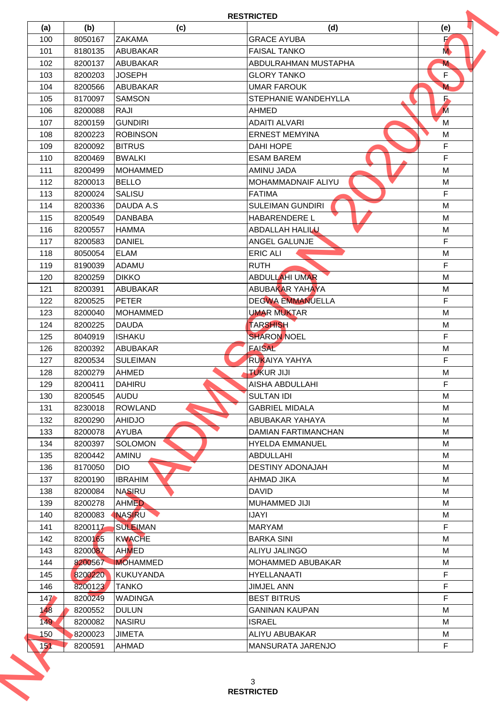| (a) | (b)     | (c)              | (d)                        | (e)           |
|-----|---------|------------------|----------------------------|---------------|
| 100 | 8050167 | <b>ZAKAMA</b>    | <b>GRACE AYUBA</b>         | И             |
| 101 | 8180135 | <b>ABUBAKAR</b>  | <b>FAISAL TANKO</b>        | M <sub></sub> |
| 102 | 8200137 | <b>ABUBAKAR</b>  | ABDULRAHMAN MUSTAPHA       | M             |
| 103 | 8200203 | <b>JOSEPH</b>    | <b>GLORY TANKO</b>         | F.            |
| 104 | 8200566 | <b>ABUBAKAR</b>  | <b>UMAR FAROUK</b>         | $M$           |
| 105 | 8170097 | <b>SAMSON</b>    | STEPHANIE WANDEHYLLA       | Б             |
| 106 | 8200088 | <b>RAJI</b>      | AHMED                      | M             |
| 107 | 8200159 | <b>GUNDIRI</b>   | <b>ADAITI ALVARI</b>       | M             |
| 108 | 8200223 | <b>ROBINSON</b>  | <b>ERNEST MEMYINA</b>      | M             |
| 109 | 8200092 | <b>BITRUS</b>    | <b>DAHI HOPE</b>           | F             |
| 110 | 8200469 | <b>BWALKI</b>    | <b>ESAM BAREM</b>          | F             |
| 111 | 8200499 | <b>MOHAMMED</b>  | <b>AMINU JADA</b>          | M             |
| 112 | 8200013 | <b>BELLO</b>     | MOHAMMADNAIF ALIYU         | M             |
| 113 | 8200024 | <b>SALISU</b>    | <b>FATIMA</b>              | $\mathsf F$   |
| 114 | 8200336 | DAUDA A.S.       | <b>SULEIMAN GUNDIRI</b>    | M             |
| 115 | 8200549 | <b>DANBABA</b>   | <b>HABARENDERE L</b>       | M             |
| 116 | 8200557 | <b>HAMMA</b>     | <b>ABDALLAH HALILU</b>     | M             |
| 117 | 8200583 | <b>DANIEL</b>    | <b>ANGEL GALUNJE</b>       | F             |
| 118 | 8050054 | <b>ELAM</b>      | <b>ERIC ALI</b>            | M             |
| 119 | 8190039 | ADAMU            | <b>RUTH</b>                | F             |
| 120 | 8200259 | <b>DIKKO</b>     | <b>ABDULLAHI UMAR</b>      | M             |
| 121 | 8200391 | <b>ABUBAKAR</b>  | <b>ABUBAKAR YAHAYA</b>     | M             |
| 122 | 8200525 | <b>PETER</b>     | <b>DEGWA EMMANUELLA</b>    | F             |
| 123 | 8200040 | <b>MOHAMMED</b>  | <b>UMAR MUKTAR</b>         | M             |
| 124 | 8200225 | <b>DAUDA</b>     | <b>TARSHISH</b>            | M             |
| 125 | 8040919 | ISHAKU           | <b>SHARON NOEL</b>         | F             |
| 126 | 8200392 | <b>ABUBAKAR</b>  | <b>FAISAL</b>              | M             |
|     |         |                  | <b>RUKAIYA YAHYA</b>       | F             |
| 127 | 8200534 | <b>SULEIMAN</b>  |                            |               |
| 128 | 8200279 | <b>AHMED</b>     | <b>TUKUR JIJI</b>          | M             |
| 129 | 8200411 | <b>DAHIRU</b>    | AISHA ABDULLAHI            | F.            |
| 130 | 8200545 | <b>AUDU</b>      | <b>SULTAN IDI</b>          | м             |
| 131 | 8230018 | <b>ROWLAND</b>   | <b>GABRIEL MIDALA</b>      | М             |
| 132 | 8200290 | <b>AHIDJO</b>    | ABUBAKAR YAHAYA            | М             |
| 133 | 8200078 | <b>AYUBA</b>     | <b>DAMIAN FARTIMANCHAN</b> | М             |
| 134 | 8200397 | <b>SOLOMON</b>   | <b>HYELDA EMMANUEL</b>     | М             |
| 135 | 8200442 | <b>AMINU</b>     | ABDULLAHI                  | М             |
| 136 | 8170050 | <b>DIO</b>       | <b>DESTINY ADONAJAH</b>    | М             |
| 137 | 8200190 | <b>IBRAHIM</b>   | AHMAD JIKA                 | М             |
| 138 | 8200084 | <b>NASIRU</b>    | <b>DAVID</b>               | М             |
| 139 | 8200278 | <b>AHMED</b>     | MUHAMMED JIJI              | М             |
| 140 | 8200083 | <b>NASIRU</b>    | <b>IJAYI</b>               | М             |
| 141 | 8200117 | <b>SULEIMAN</b>  | MARYAM                     | F             |
| 142 | 8200165 | <b>KWACHE</b>    | <b>BARKA SINI</b>          | M             |
| 143 | 8200087 | <b>AHMED</b>     | ALIYU JALINGO              | М             |
| 144 | 8200567 | <b>MOHAMMED</b>  | <b>MOHAMMED ABUBAKAR</b>   | М             |
| 145 | 8200220 | <b>KUKUYANDA</b> | <b>HYELLANAATI</b>         | F             |
| 146 | 8200123 | <b>TANKO</b>     | <b>JIMJEL ANN</b>          | F             |
| 147 | 8200249 | <b>WADINGA</b>   | <b>BEST BITRUS</b>         | F.            |
| 148 | 8200552 | <b>DULUN</b>     | <b>GANINAN KAUPAN</b>      | М             |
| 149 | 8200082 | <b>NASIRU</b>    | <b>ISRAEL</b>              | М             |
| 150 | 8200023 | <b>JIMETA</b>    | ALIYU ABUBAKAR             | М             |
|     | 8200591 | <b>AHMAD</b>     | <b>MANSURATA JARENJO</b>   | F.            |
| 151 |         |                  |                            |               |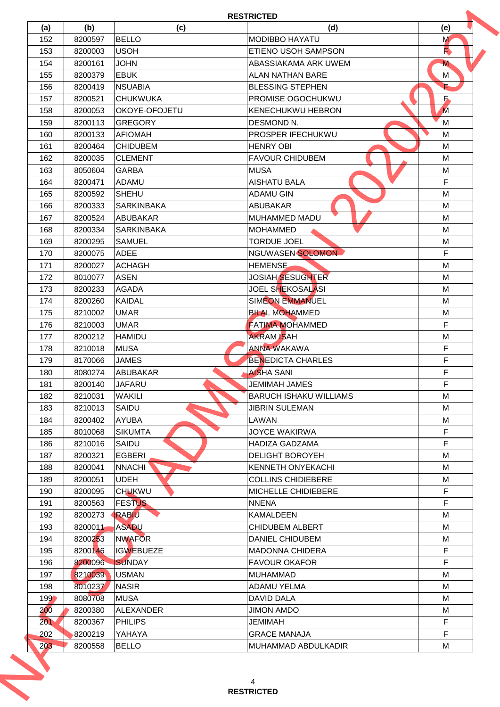|                |         |                   | <b>RESTRICTED</b>             |        |
|----------------|---------|-------------------|-------------------------------|--------|
| (a)            | (b)     | (c)               | (d)                           | (e)    |
| 152            | 8200597 | <b>BELLO</b>      | <b>MODIBBO HAYATU</b>         | M      |
| 153            | 8200003 | <b>USOH</b>       | ETIENO USOH SAMPSON           | R      |
| 154            | 8200161 | <b>JOHN</b>       | ABASSIAKAMA ARK UWEM          | M      |
| 155            | 8200379 | <b>EBUK</b>       | <b>ALAN NATHAN BARE</b>       | М      |
| 156            | 8200419 | <b>NSUABIA</b>    | <b>BLESSING STEPHEN</b>       | ь      |
| 157            | 8200521 | <b>CHUKWUKA</b>   | PROMISE OGOCHUKWU             | Б.     |
| 158            | 8200053 | OKOYE-OFOJETU     | <b>KENECHUKWU HEBRON</b>      | M      |
| 159            | 8200113 | <b>GREGORY</b>    | DESMOND N.                    | M      |
| 160            | 8200133 | <b>AFIOMAH</b>    | PROSPER IFECHUKWU             | M      |
| 161            | 8200464 | <b>CHIDUBEM</b>   | <b>HENRY OBI</b>              | M      |
| 162            | 8200035 | <b>ICLEMENT</b>   | <b>FAVOUR CHIDUBEM</b>        | M      |
| 163            | 8050604 | <b>GARBA</b>      | <b>MUSA</b>                   | M      |
| 164            | 8200471 | <b>ADAMU</b>      | <b>AISHATU BALA</b>           | F      |
| 165            | 8200592 | <b>SHEHU</b>      | <b>ADAMU GIN</b>              | M      |
| 166            | 8200333 | <b>SARKINBAKA</b> | <b>ABUBAKAR</b>               | М      |
| 167            | 8200524 | <b>ABUBAKAR</b>   | MUHAMMED MADU                 | M      |
| 168            | 8200334 | <b>SARKINBAKA</b> | <b>MOHAMMED</b>               | M      |
| 169            | 8200295 | <b>SAMUEL</b>     | <b>TORDUE JOEL</b>            | M      |
| 170            | 8200075 | <b>ADEE</b>       | NGUWASEN SOLOMON              | F      |
| 171            | 8200027 | <b>ACHAGH</b>     | <b>HEMENSE</b>                | M      |
| 172            | 8010077 | <b>ASEN</b>       | <b>JOSIAH SESUGHTER</b>       | M      |
| 173            | 8200233 | <b>AGADA</b>      | <b>JOEL SHEKOSALASI</b>       | M      |
| 174            | 8200260 | <b>KAIDAL</b>     | <b>SIMEON EMMANUEL</b>        | M      |
| 175            | 8210002 | <b>UMAR</b>       | <b>BILAL MOHAMMED</b>         | М      |
| 176            | 8210003 | <b>UMAR</b>       | <b>FATIMA MOHAMMED</b>        | F.     |
|                |         |                   | <b>AKRAM ISAH</b>             |        |
| 177            | 8200212 | <b>HAMIDU</b>     | <b>ANNA WAKAWA</b>            | M<br>F |
| 178            | 8210018 | <b>MUSA</b>       |                               |        |
| 179            | 8170066 | <b>JAMES</b>      | <b>BENEDICTA CHARLES</b>      | F      |
| 180            | 8080274 | <b>ABUBAKAR</b>   | <b>AISHA SANI</b>             | F      |
| 181            | 8200140 | <b>JAFARU</b>     | JEMIMAH JAMES                 | F      |
| 182            | 8210031 | <b>WAKILI</b>     | <b>BARUCH ISHAKU WILLIAMS</b> | M      |
| 183            | 8210013 | SAIDU             | <b>JIBRIN SULEMAN</b>         | M      |
| 184            | 8200402 | <b>AYUBA</b>      | LAWAN                         | М      |
| 185            | 8010068 | <b>SIKUMTA</b>    | <b>JOYCE WAKIRWA</b>          | F      |
| 186            | 8210016 | SAIDU             | <b>HADIZA GADZAMA</b>         | F.     |
| 187            | 8200321 | EGBERI            | <b>DELIGHT BOROYEH</b>        | М      |
| 188            | 8200041 | <b>NNACHI</b>     | KENNETH ONYEKACHI             | М      |
| 189            | 8200051 | <b>UDEH</b>       | <b>COLLINS CHIDIEBERE</b>     | М      |
| 190            | 8200095 | <b>CHUKWU</b>     | MICHELLE CHIDIEBERE           | F      |
| 191            | 8200563 | <b>FESTUS</b>     | <b>NNENA</b>                  | F.     |
| 192            | 8200273 | RABIU             | <b>KAMALDEEN</b>              | M      |
| 193            | 8200011 | <b>ASADU</b>      | <b>CHIDUBEM ALBERT</b>        | М      |
| 194            | 8200253 | <b>NWAFOR</b>     | DANIEL CHIDUBEM               | М      |
| 195            | 8200146 | <b>IGWEBUEZE</b>  | <b>MADONNA CHIDERA</b>        | F      |
| 196            | 8200096 | <b>SUNDAY</b>     | <b>FAVOUR OKAFOR</b>          | F      |
| 197            | 8210039 | <b>USMAN</b>      | <b>MUHAMMAD</b>               | М      |
| 198            | 8010237 | <b>NASIR</b>      | <b>ADAMU YELMA</b>            | М      |
| 199            | 8080708 | <b>MUSA</b>       | <b>DAVID DALA</b>             | М      |
| 200            | 8200380 | <b>ALEXANDER</b>  | <b>JIMON AMDO</b>             | M      |
| 201            | 8200367 | <b>PHILIPS</b>    | JEMIMAH                       | F      |
|                | 8200219 | YAHAYA            | <b>GRACE MANAJA</b>           | F.     |
|                | 8200558 | <b>BELLO</b>      | MUHAMMAD ABDULKADIR           | М      |
| 202<br>$203 -$ |         |                   |                               |        |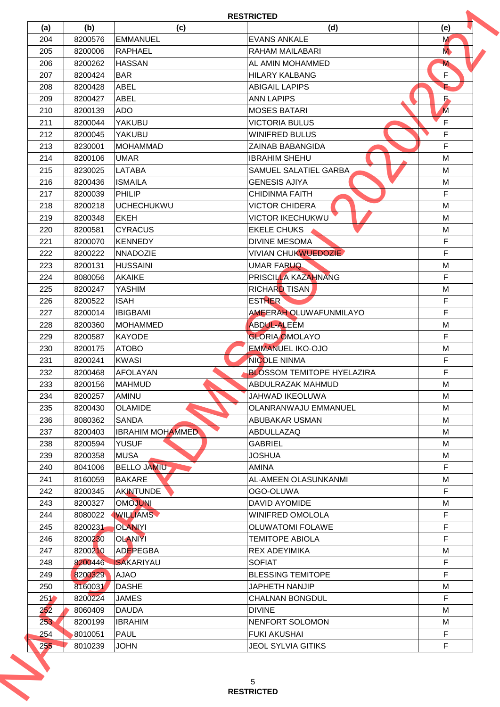| (a)<br>204<br>205<br>206<br>207<br>208<br>209<br>210 | (b)<br>8200576<br>8200006<br>8200262 | (c)<br><b>EMMANUEL</b><br><b>RAPHAEL</b> | (d)<br><b>EVANS ANKALE</b><br>RAHAM MAILABARI | (e)<br>M<br>M <sub></sub> |
|------------------------------------------------------|--------------------------------------|------------------------------------------|-----------------------------------------------|---------------------------|
|                                                      |                                      |                                          |                                               |                           |
|                                                      |                                      |                                          |                                               |                           |
|                                                      |                                      | <b>HASSAN</b>                            | AL AMIN MOHAMMED                              | M                         |
|                                                      | 8200424                              | <b>BAR</b>                               | <b>HILARY KALBANG</b>                         | F                         |
|                                                      | 8200428                              | <b>ABEL</b>                              | <b>ABIGAIL LAPIPS</b>                         |                           |
|                                                      | 8200427                              | <b>ABEL</b>                              | <b>ANN LAPIPS</b>                             | $\overline{\phantom{a}}$  |
|                                                      | 8200139                              | <b>ADO</b>                               | <b>MOSES BATARI</b>                           | M                         |
| 211                                                  | 8200044                              | <b>YAKUBU</b>                            | <b>VICTORIA BULUS</b>                         | $\mathsf F$               |
| 212                                                  | 8200045                              | <b>YAKUBU</b>                            | <b>WINIFRED BULUS</b>                         | F.                        |
|                                                      |                                      |                                          |                                               | F                         |
| 213                                                  | 8230001                              | <b>MOHAMMAD</b>                          | <b>ZAINAB BABANGIDA</b>                       |                           |
| 214                                                  | 8200106                              | <b>UMAR</b>                              | <b>IBRAHIM SHEHU</b>                          | M                         |
| 215                                                  | 8230025                              | <b>LATABA</b>                            | SAMUEL SALATIEL GARBA                         | M                         |
| 216                                                  | 8200436                              | <b>ISMAILA</b>                           | <b>GENESIS AJIYA</b>                          | M                         |
| 217                                                  | 8200039                              | PHILIP                                   | <b>CHIDINMA FAITH</b>                         | F                         |
| 218                                                  | 8200218                              | <b>IUCHECHUKWU</b>                       | <b>VICTOR CHIDERA</b>                         | M                         |
| 219                                                  | 8200348                              | <b>EKEH</b>                              | <b>VICTOR IKECHUKWU</b>                       | M                         |
| 220                                                  | 8200581                              | <b>CYRACUS</b>                           | <b>EKELE CHUKS</b>                            | M                         |
| 221                                                  | 8200070                              | <b>IKENNEDY</b>                          | <b>DIVINE MESOMA</b>                          | F                         |
| 222                                                  | 8200222                              | <b>NNADOZIE</b>                          | <b>VIVIAN CHUKWUEDOZIE</b>                    | F                         |
| 223                                                  | 8200131                              | <b>HUSSAINI</b>                          | <b>UMAR FARUQ</b>                             | M                         |
| 224                                                  | 8080056                              | <b>AKAIKE</b>                            | PRISCILLA KAZAHNANG                           | F.                        |
| 225                                                  | 8200247                              | <b>YASHIM</b>                            | RICHARD TISAN                                 | M                         |
| 226                                                  | 8200522                              | <b>ISAH</b>                              | <b>ESTHER</b>                                 | F                         |
| 227                                                  | 8200014                              | <b>IBIGBAMI</b>                          | <b>AMEERAH OLUWAFUNMILAYO</b>                 | F.                        |
| 228                                                  | 8200360                              | <b>MOHAMMED</b>                          | <b>ABDUL-ALEEM</b>                            | M                         |
| 229                                                  | 8200587                              | <b>KAYODE</b>                            | <b>GLORIA OMOLAYO</b>                         | F                         |
| 230                                                  | 8200175                              | <b>ATOBO</b>                             | <b>EMMANUEL IKO-OJO</b>                       | M                         |
| 231                                                  | 8200241                              | <b>KWASI</b>                             | <b>NICOLE NINMA</b>                           | $\mathsf F$               |
| 232                                                  | 8200468                              | <b>AFOLAYAN</b>                          | <b>BLOSSOM TEMITOPE HYELAZIRA</b>             | F                         |
| 233                                                  | 8200156                              | <b>MAHMUD</b>                            | ABDULRAZAK MAHMUD                             | M                         |
| 234                                                  | 8200257                              | AMINU                                    | JAHWAD IKEOLUWA                               | M                         |
| 235                                                  | 8200430                              | <b>OLAMIDE</b>                           | <b>OLANRANWAJU EMMANUEL</b>                   | М                         |
| 236                                                  | 8080362                              | <b>SANDA</b>                             | ABUBAKAR USMAN                                | М                         |
| 237                                                  | 8200403                              | <b>IBRAHIM MOHAMMED</b>                  | ABDULLAZAQ                                    | М                         |
| 238                                                  | 8200594                              | <b>YUSUF</b>                             | <b>GABRIEL</b>                                | М                         |
| 239                                                  | 8200358                              | <b>MUSA</b>                              | <b>JOSHUA</b>                                 | M                         |
|                                                      |                                      | <b>BELLO JAMIU</b>                       |                                               | F.                        |
| 240<br>241                                           | 8041006                              | <b>BAKARE</b>                            | <b>AMINA</b><br>AL-AMEEN OLASUNKANMI          | М                         |
|                                                      | 8160059                              |                                          |                                               | F                         |
| 242                                                  | 8200345                              | <b>AKINTUNDE</b>                         | OGO-OLUWA                                     |                           |
| 243                                                  | 8200327                              | <b>OMOJUNI</b>                           | <b>DAVID AYOMIDE</b>                          | M                         |
| 244                                                  | 8080022                              | <b>WILLIAMS</b>                          | <b>WINIFRED OMOLOLA</b>                       | F.                        |
| 245                                                  | 8200231                              | <b>OLANIYI</b>                           | <b>OLUWATOMI FOLAWE</b>                       | F                         |
| 246                                                  | 8200230                              | <b>OLANIYI</b>                           | <b>TEMITOPE ABIOLA</b>                        | F.                        |
| 247                                                  | 8200210                              | ADEPEGBA                                 | <b>REX ADEYIMIKA</b>                          | M                         |
| 248                                                  | 8200446                              | SAKARIYAU                                | <b>SOFIAT</b>                                 | $\mathsf F$               |
| 249                                                  | 8200329                              | <b>AJAO</b>                              | <b>BLESSING TEMITOPE</b>                      | F                         |
| 250                                                  | 8160031                              | <b>DASHE</b>                             | <b>JAPHETH NANJIP</b>                         | M                         |
| 251                                                  | 8200224                              | <b>JAMES</b>                             | <b>CHALNAN BONGDUL</b>                        | F                         |
| 252                                                  | 8060409                              | <b>DAUDA</b>                             | <b>DIVINE</b>                                 | М                         |
| 253                                                  | 8200199                              | <b>IBRAHIM</b>                           | NENFORT SOLOMON                               | М                         |
| 254                                                  | 8010051                              | <b>PAUL</b>                              | <b>FUKI AKUSHAI</b>                           | F.                        |
| 255                                                  | 8010239                              | <b>JOHN</b>                              | <b>JEOL SYLVIA GITIKS</b>                     | F                         |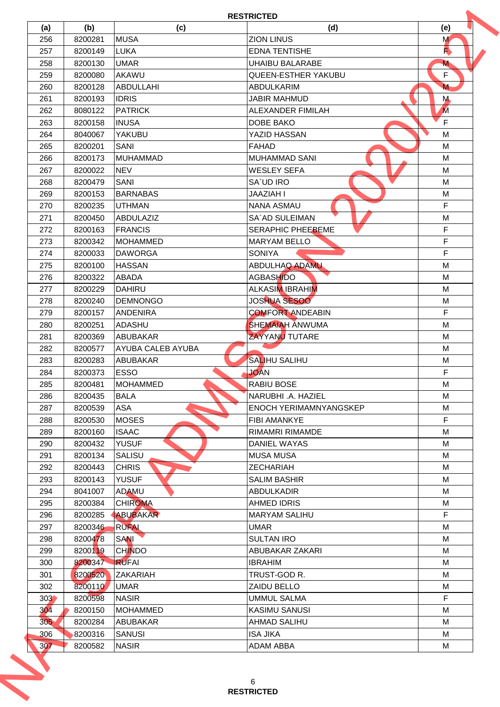|                 |         |                          | <b>RESTRICTED</b>             |             |
|-----------------|---------|--------------------------|-------------------------------|-------------|
| (a)             | (b)     | (c)                      | (d)                           | (e)         |
| 256             | 8200281 | <b>MUSA</b>              | <b>ZION LINUS</b>             | M           |
| 257             | 8200149 | <b>LUKA</b>              | <b>EDNA TENTISHE</b>          | R           |
| 258             | 8200130 | <b>UMAR</b>              | <b>UHAIBU BALARABE</b>        | M           |
| 259             | 8200080 | AKAWU                    | <b>QUEEN-ESTHER YAKUBU</b>    | F           |
| 260             | 8200128 | <b>ABDULLAHI</b>         | <b>ABDULKARIM</b>             | M           |
| 261             | 8200193 | <b>IDRIS</b>             | <b>JABIR MAHMUD</b>           | M.          |
| 262             | 8080122 | <b>PATRICK</b>           | ALEXANDER FIMILAH             | M           |
| 263             | 8200158 | <b>INUSA</b>             | DOBE BAKO                     | F           |
| 264             | 8040067 | <b>YAKUBU</b>            | YAZID HASSAN                  | M           |
| 265             | 8200201 | <b>SANI</b>              | <b>FAHAD</b>                  | M           |
| 266             | 8200173 | <b>MUHAMMAD</b>          | <b>MUHAMMAD SANI</b>          | M           |
| 267             | 8200022 | <b>NEV</b>               | <b>WESLEY SEFA</b>            | M           |
| 268             | 8200479 | <b>SANI</b>              | SA'UD IRO                     | M           |
| 269             | 8200153 | <b>BARNABAS</b>          | <b>JAAZIAH I</b>              | M           |
| 270             | 8200235 | <b>UTHMAN</b>            | <b>NANA ASMAU</b>             | F           |
| 271             | 8200450 | ABDULAZIZ                | SA`AD SULEIMAN                | M           |
| 272             | 8200163 | <b>FRANCIS</b>           | <b>SERAPHIC PHEEBEME</b>      | $\mathsf F$ |
| 273             | 8200342 | <b>MOHAMMED</b>          | <b>MARYAM BELLO</b>           | F           |
| 274             | 8200033 | <b>DAWORGA</b>           | <b>SONIYA</b>                 | F           |
| 275             | 8200100 | <b>HASSAN</b>            | ABDULHAQ ADAMU                | M           |
| 276             | 8200322 | <b>ABADA</b>             | <b>AGBASHIDO</b>              | M           |
| 277             | 8200229 | <b>DAHIRU</b>            | <b>ALKASIM IBRAHIM</b>        | M           |
| 278             | 8200240 | <b>DEMNONGO</b>          | <b>JOSHUA SESOO</b>           | M           |
| 279             | 8200157 | <b>ANDENIRA</b>          | <b>COMFORT ANDEABIN</b>       | F           |
| 280             | 8200251 | <b>ADASHU</b>            | <b>SHEMAIAH ANWUMA</b>        | M           |
| 281             | 8200369 | <b>ABUBAKAR</b>          | ZAYYANU TUTARE                | M           |
| 282             | 8200577 | <b>AYUBA CALEB AYUBA</b> |                               | M           |
| 283             | 8200283 | <b>ABUBAKAR</b>          | <b>SALIHU SALIHU</b>          | M           |
| 284             |         | <b>ESSO</b>              | <b>JOAN</b>                   | $\mathsf F$ |
|                 | 8200373 |                          |                               |             |
| 285             | 8200481 | <b>MOHAMMED</b>          | RABIU BOSE                    | M           |
| 286             | 8200435 | <b>BALA</b>              | NARUBHI .A. HAZIEL            | М           |
| 287             | 8200539 | ASA                      | <b>ENOCH YERIMAMNYANGSKEP</b> | M           |
| 288             | 8200530 | <b>MOSES</b>             | <b>FIBI AMANKYE</b>           | F           |
| 289             | 8200160 | <b>ISAAC</b>             | RIMAMRI RIMAMDE               | M           |
| 290             | 8200432 | <b>YUSUF</b>             | DANIEL WAYAS                  | М           |
| 291             | 8200134 | <b>SALISU</b>            | <b>MUSA MUSA</b>              | М           |
| 292             | 8200443 | <b>CHRIS</b>             | <b>ZECHARIAH</b>              | М           |
| 293             | 8200143 | <b>YUSUF</b>             | <b>SALIM BASHIR</b>           | М           |
| 294             | 8041007 | <b>ADAMU</b>             | <b>ABDULKADIR</b>             | М           |
| 295             | 8200384 | <b>CHIROMA</b>           | <b>AHMED IDRIS</b>            | М           |
| 296             | 8200285 | ABUBAKAR                 | <b>MARYAM SALIHU</b>          | F           |
| 297             | 8200346 | <b>RUFAL</b>             | <b>UMAR</b>                   | М           |
| 298             | 8200478 | <b>SANI</b>              | <b>SULTAN IRO</b>             | M           |
| 299             | 8200119 | <b>CHINDO</b>            | ABUBAKAR ZAKARI               | М           |
| 300             | 8200347 | <b>RUFAI</b>             | <b>IBRAHIM</b>                | М           |
| 301             | 8200520 | <b>ZAKARIAH</b>          | TRUST-GOD R.                  | М           |
| 302             | 8200110 | <b>UMAR</b>              | ZAIDU BELLO                   | М           |
| 303             | 8200598 | <b>NASIR</b>             | <b>UMMUL SALMA</b>            | F           |
| 30 <sup>4</sup> | 8200150 | <b>MOHAMMED</b>          | <b>KASIMU SANUSI</b>          | М           |
| 305             | 8200284 | <b>ABUBAKAR</b>          | AHMAD SALIHU                  | M           |
| 306             | 8200316 | <b>SANUSI</b>            | <b>ISA JIKA</b>               | М           |
|                 |         |                          |                               |             |
| 307             | 8200582 | <b>NASIR</b>             | <b>ADAM ABBA</b>              | М           |